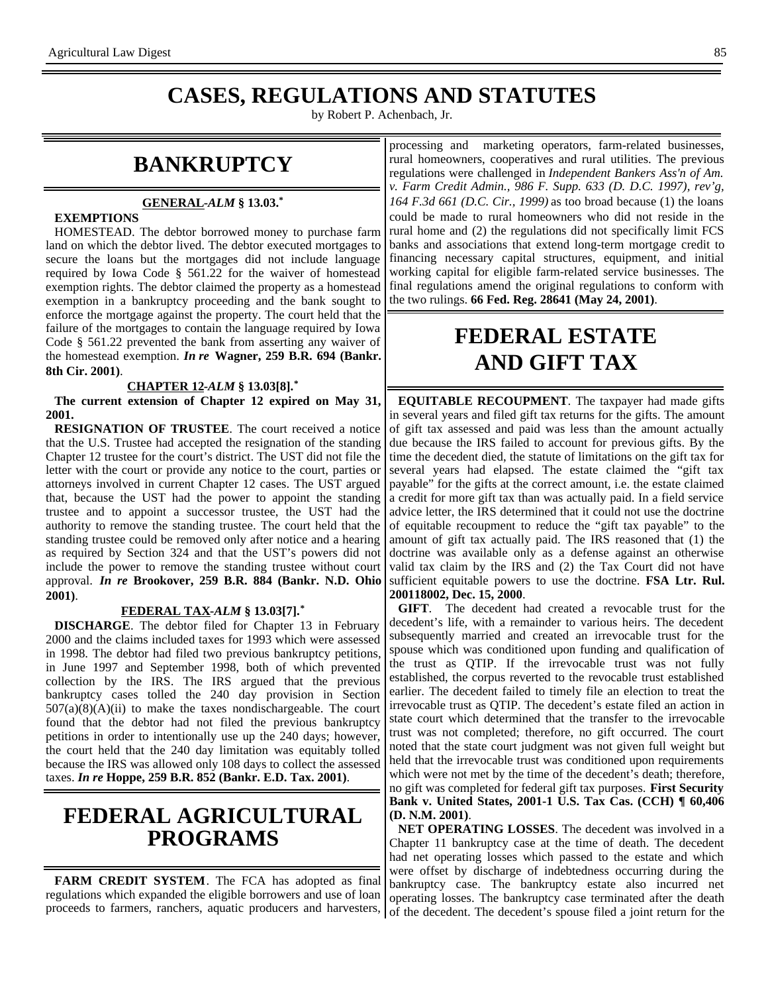# **CASES, REGULATIONS AND STATUTES**

by Robert P. Achenbach, Jr.

## **BANKRUPTCY**

## **GENERAL -***ALM* **§ 13.03.\***

## **EXEMPTIONS**

HOMESTEAD. The debtor borrowed money to purchase farm land on which the debtor lived. The debtor executed mortgages to secure the loans but the mortgages did not include language required by Iowa Code § 561.22 for the waiver of homestead exemption rights. The debtor claimed the property as a homestead exemption in a bankruptcy proceeding and the bank sought to enforce the mortgage against the property. The court held that the failure of the mortgages to contain the language required by Iowa Code § 561.22 prevented the bank from asserting any waiver of the homestead exemption. *In re* **Wagner, 259 B.R. 694 (Bankr. 8th Cir. 2001)**.

#### **CHAPTER 12 -***ALM* **§ 13.03[8].\***

**The current extension of Chapter 12 expired on May 31, 2001.**

**RESIGNATION OF TRUSTEE**. The court received a notice that the U.S. Trustee had accepted the resignation of the standing Chapter 12 trustee for the court's district. The UST did not file the letter with the court or provide any notice to the court, parties or attorneys involved in current Chapter 12 cases. The UST argued that, because the UST had the power to appoint the standing trustee and to appoint a successor trustee, the UST had the authority to remove the standing trustee. The court held that the standing trustee could be removed only after notice and a hearing as required by Section 324 and that the UST's powers did not include the power to remove the standing trustee without court approval. *In re* **Brookover, 259 B.R. 884 (Bankr. N.D. Ohio 2001)**.

### **FEDERAL TAX -***ALM* **§ 13.03[7].\***

**DISCHARGE**. The debtor filed for Chapter 13 in February 2000 and the claims included taxes for 1993 which were assessed in 1998. The debtor had filed two previous bankruptcy petitions, in June 1997 and September 1998, both of which prevented collection by the IRS. The IRS argued that the previous bankruptcy cases tolled the 240 day provision in Section  $507(a)(8)(A)(ii)$  to make the taxes nondischargeable. The court found that the debtor had not filed the previous bankruptcy petitions in order to intentionally use up the 240 days; however, the court held that the 240 day limitation was equitably tolled because the IRS was allowed only 108 days to collect the assessed taxes. *In re* **Hoppe, 259 B.R. 852 (Bankr. E.D. Tax. 2001)**.

## **FEDERAL AGRICULTURAL PROGRAMS**

**FARM CREDIT SYSTEM**. The FCA has adopted as final regulations which expanded the eligible borrowers and use of loan proceeds to farmers, ranchers, aquatic producers and harvesters,

processing and marketing operators, farm-related businesses, rural homeowners, cooperatives and rural utilities. The previous regulations were challenged in *Independent Bankers Ass'n of Am. v. Farm Credit Admin., 986 F. Supp. 633 (D. D.C. 1997), rev'g, 164 F.3d 661 (D.C. Cir., 1999)* as too broad because (1) the loans could be made to rural homeowners who did not reside in the rural home and (2) the regulations did not specifically limit FCS banks and associations that extend long-term mortgage credit to financing necessary capital structures, equipment, and initial working capital for eligible farm-related service businesses. The final regulations amend the original regulations to conform with the two rulings. **66 Fed. Reg. 28641 (May 24, 2001)**.

# **FEDERAL ESTATE AND GIFT TAX**

**EQUITABLE RECOUPMENT**. The taxpayer had made gifts in several years and filed gift tax returns for the gifts. The amount of gift tax assessed and paid was less than the amount actually due because the IRS failed to account for previous gifts. By the time the decedent died, the statute of limitations on the gift tax for several years had elapsed. The estate claimed the "gift tax payable" for the gifts at the correct amount, i.e. the estate claimed a credit for more gift tax than was actually paid. In a field service advice letter, the IRS determined that it could not use the doctrine of equitable recoupment to reduce the "gift tax payable" to the amount of gift tax actually paid. The IRS reasoned that (1) the doctrine was available only as a defense against an otherwise valid tax claim by the IRS and (2) the Tax Court did not have sufficient equitable powers to use the doctrine. **FSA Ltr. Rul. 200118002, Dec. 15, 2000**.

**GIFT**. The decedent had created a revocable trust for the decedent's life, with a remainder to various heirs. The decedent subsequently married and created an irrevocable trust for the spouse which was conditioned upon funding and qualification of the trust as QTIP. If the irrevocable trust was not fully established, the corpus reverted to the revocable trust established earlier. The decedent failed to timely file an election to treat the irrevocable trust as QTIP. The decedent's estate filed an action in state court which determined that the transfer to the irrevocable trust was not completed; therefore, no gift occurred. The court noted that the state court judgment was not given full weight but held that the irrevocable trust was conditioned upon requirements which were not met by the time of the decedent's death; therefore, no gift was completed for federal gift tax purposes. **First Security Bank v. United States, 2001-1 U.S. Tax Cas. (CCH) ¶ 60,406 (D. N.M. 2001)**.

**NET OPERATING LOSSES**. The decedent was involved in a Chapter 11 bankruptcy case at the time of death. The decedent had net operating losses which passed to the estate and which were offset by discharge of indebtedness occurring during the bankruptcy case. The bankruptcy estate also incurred net operating losses. The bankruptcy case terminated after the death of the decedent. The decedent's spouse filed a joint return for the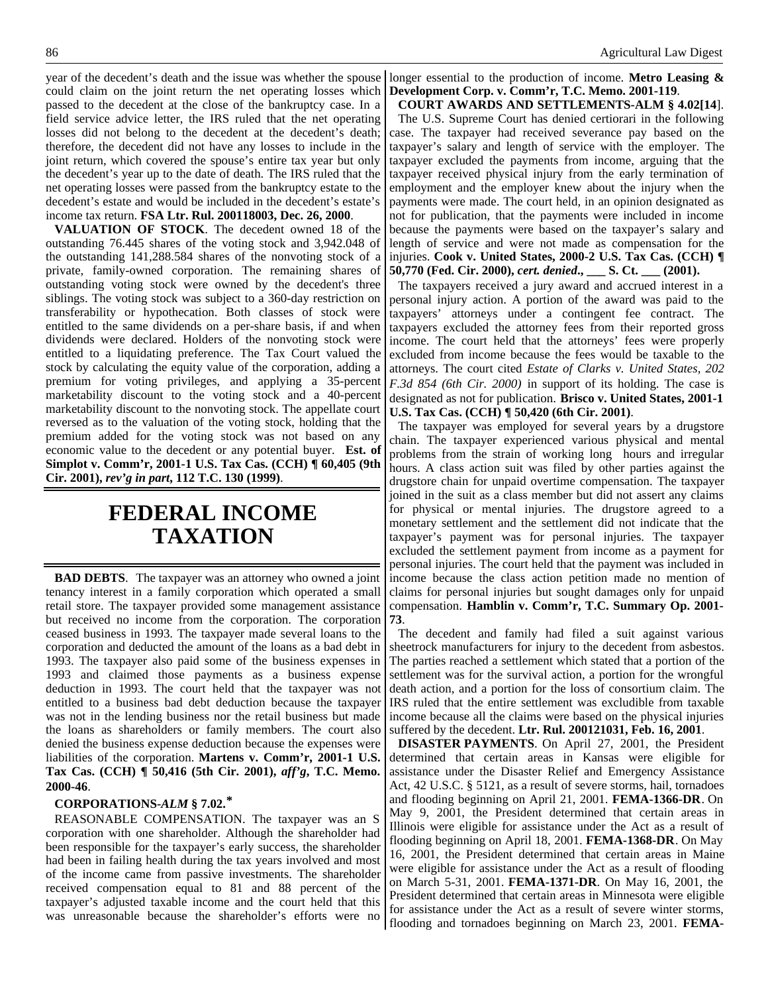year of the decedent's death and the issue was whether the spouse could claim on the joint return the net operating losses which passed to the decedent at the close of the bankruptcy case. In a field service advice letter, the IRS ruled that the net operating losses did not belong to the decedent at the decedent's death; therefore, the decedent did not have any losses to include in the joint return, which covered the spouse's entire tax year but only the decedent's year up to the date of death. The IRS ruled that the net operating losses were passed from the bankruptcy estate to the decedent's estate and would be included in the decedent's estate's income tax return. **FSA Ltr. Rul. 200118003, Dec. 26, 2000**.

**VALUATION OF STOCK**. The decedent owned 18 of the outstanding 76.445 shares of the voting stock and 3,942.048 of the outstanding 141,288.584 shares of the nonvoting stock of a private, family-owned corporation. The remaining shares of outstanding voting stock were owned by the decedent's three siblings. The voting stock was subject to a 360-day restriction on transferability or hypothecation. Both classes of stock were entitled to the same dividends on a per-share basis, if and when dividends were declared. Holders of the nonvoting stock were entitled to a liquidating preference. The Tax Court valued the stock by calculating the equity value of the corporation, adding a premium for voting privileges, and applying a 35-percent marketability discount to the voting stock and a 40-percent marketability discount to the nonvoting stock. The appellate court reversed as to the valuation of the voting stock, holding that the premium added for the voting stock was not based on any economic value to the decedent or any potential buyer. **Est. of Simplot v. Comm'r, 2001-1 U.S. Tax Cas. (CCH) ¶ 60,405 (9th Cir. 2001),** *rev'g in part***, 112 T.C. 130 (1999)**.

## **FEDERAL INCOME TAXATION**

**BAD DEBTS**. The taxpayer was an attorney who owned a joint tenancy interest in a family corporation which operated a small retail store. The taxpayer provided some management assistance but received no income from the corporation. The corporation ceased business in 1993. The taxpayer made several loans to the corporation and deducted the amount of the loans as a bad debt in 1993. The taxpayer also paid some of the business expenses in 1993 and claimed those payments as a business expense deduction in 1993. The court held that the taxpayer was not entitled to a business bad debt deduction because the taxpayer was not in the lending business nor the retail business but made the loans as shareholders or family members. The court also denied the business expense deduction because the expenses were liabilities of the corporation. **Martens v. Comm'r, 2001-1 U.S. Tax Cas. (CCH) ¶ 50,416 (5th Cir. 2001),** *aff'g***, T.C. Memo. 2000-46**.

## **CORPORATIONS-***ALM* **§ 7.02.\***

REASONABLE COMPENSATION. The taxpayer was an S corporation with one shareholder. Although the shareholder had been responsible for the taxpayer's early success, the shareholder had been in failing health during the tax years involved and most of the income came from passive investments. The shareholder received compensation equal to 81 and 88 percent of the taxpayer's adjusted taxable income and the court held that this was unreasonable because the shareholder's efforts were no

longer essential to the production of income. **Metro Leasing & Development Corp. v. Comm'r, T.C. Memo. 2001-119**.

**COURT AWARDS AND SETTLEMENTS-ALM § 4.02[14**]. The U.S. Supreme Court has denied certiorari in the following case. The taxpayer had received severance pay based on the taxpayer's salary and length of service with the employer. The taxpayer excluded the payments from income, arguing that the taxpayer received physical injury from the early termination of employment and the employer knew about the injury when the payments were made. The court held, in an opinion designated as not for publication, that the payments were included in income because the payments were based on the taxpayer's salary and length of service and were not made as compensation for the injuries. **Cook v. United States, 2000-2 U.S. Tax Cas. (CCH) ¶ 50,770 (Fed. Cir. 2000),** *cert. denied***., \_\_\_ S. Ct. \_\_\_ (2001).**

The taxpayers received a jury award and accrued interest in a personal injury action. A portion of the award was paid to the taxpayers' attorneys under a contingent fee contract. The taxpayers excluded the attorney fees from their reported gross income. The court held that the attorneys' fees were properly excluded from income because the fees would be taxable to the attorneys. The court cited *Estate of Clarks v. United States, 202 F.3d 854 (6th Cir. 2000)* in support of its holding. The case is designated as not for publication. **Brisco v. United States, 2001-1 U.S. Tax Cas. (CCH) ¶ 50,420 (6th Cir. 2001)**.

The taxpayer was employed for several years by a drugstore chain. The taxpayer experienced various physical and mental problems from the strain of working long hours and irregular hours. A class action suit was filed by other parties against the drugstore chain for unpaid overtime compensation. The taxpayer joined in the suit as a class member but did not assert any claims for physical or mental injuries. The drugstore agreed to a monetary settlement and the settlement did not indicate that the taxpayer's payment was for personal injuries. The taxpayer excluded the settlement payment from income as a payment for personal injuries. The court held that the payment was included in income because the class action petition made no mention of claims for personal injuries but sought damages only for unpaid compensation. **Hamblin v. Comm'r, T.C. Summary Op. 2001- 73**.

The decedent and family had filed a suit against various sheetrock manufacturers for injury to the decedent from asbestos. The parties reached a settlement which stated that a portion of the settlement was for the survival action, a portion for the wrongful death action, and a portion for the loss of consortium claim. The IRS ruled that the entire settlement was excludible from taxable income because all the claims were based on the physical injuries suffered by the decedent. **Ltr. Rul. 200121031, Feb. 16, 2001**.

**DISASTER PAYMENTS**. On April 27, 2001, the President determined that certain areas in Kansas were eligible for assistance under the Disaster Relief and Emergency Assistance Act, 42 U.S.C. § 5121, as a result of severe storms, hail, tornadoes and flooding beginning on April 21, 2001. **FEMA-1366-DR**. On May 9, 2001, the President determined that certain areas in Illinois were eligible for assistance under the Act as a result of flooding beginning on April 18, 2001. **FEMA-1368-DR**. On May 16, 2001, the President determined that certain areas in Maine were eligible for assistance under the Act as a result of flooding on March 5-31, 2001. **FEMA-1371-DR**. On May 16, 2001, the President determined that certain areas in Minnesota were eligible for assistance under the Act as a result of severe winter storms, flooding and tornadoes beginning on March 23, 2001. **FEMA-**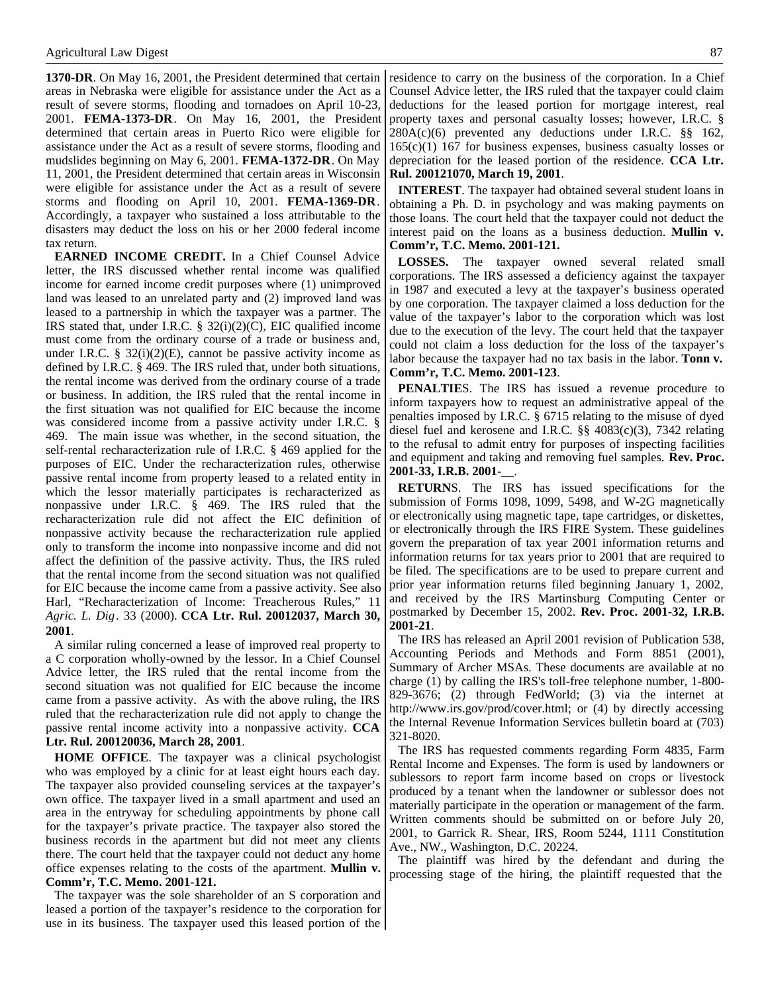**1370-DR**. On May 16, 2001, the President determined that certain areas in Nebraska were eligible for assistance under the Act as a result of severe storms, flooding and tornadoes on April 10-23, 2001. **FEMA-1373-DR**. On May 16, 2001, the President determined that certain areas in Puerto Rico were eligible for assistance under the Act as a result of severe storms, flooding and mudslides beginning on May 6, 2001. **FEMA-1372-DR**. On May 11, 2001, the President determined that certain areas in Wisconsin were eligible for assistance under the Act as a result of severe storms and flooding on April 10, 2001. **FEMA-1369-DR**. Accordingly, a taxpayer who sustained a loss attributable to the disasters may deduct the loss on his or her 2000 federal income tax return.

**EARNED INCOME CREDIT.** In a Chief Counsel Advice letter, the IRS discussed whether rental income was qualified income for earned income credit purposes where (1) unimproved land was leased to an unrelated party and (2) improved land was leased to a partnership in which the taxpayer was a partner. The IRS stated that, under I.R.C. § 32(i)(2)(C), EIC qualified income must come from the ordinary course of a trade or business and, under I.R.C. §  $32(i)(2)(E)$ , cannot be passive activity income as defined by I.R.C. § 469. The IRS ruled that, under both situations, the rental income was derived from the ordinary course of a trade or business. In addition, the IRS ruled that the rental income in the first situation was not qualified for EIC because the income was considered income from a passive activity under I.R.C. § 469. The main issue was whether, in the second situation, the self-rental recharacterization rule of I.R.C. § 469 applied for the purposes of EIC. Under the recharacterization rules, otherwise passive rental income from property leased to a related entity in which the lessor materially participates is recharacterized as nonpassive under I.R.C. § 469. The IRS ruled that the recharacterization rule did not affect the EIC definition of nonpassive activity because the recharacterization rule applied only to transform the income into nonpassive income and did not affect the definition of the passive activity. Thus, the IRS ruled that the rental income from the second situation was not qualified for EIC because the income came from a passive activity. See also Harl, "Recharacterization of Income: Treacherous Rules," 11 *Agric. L. Dig*. 33 (2000). **CCA Ltr. Rul. 20012037, March 30, 2001**.

A similar ruling concerned a lease of improved real property to a C corporation wholly-owned by the lessor. In a Chief Counsel Advice letter, the IRS ruled that the rental income from the second situation was not qualified for EIC because the income came from a passive activity. As with the above ruling, the IRS ruled that the recharacterization rule did not apply to change the passive rental income activity into a nonpassive activity. **CCA Ltr. Rul. 200120036, March 28, 2001**.

**HOME OFFICE**. The taxpayer was a clinical psychologist who was employed by a clinic for at least eight hours each day. The taxpayer also provided counseling services at the taxpayer's own office. The taxpayer lived in a small apartment and used an area in the entryway for scheduling appointments by phone call for the taxpayer's private practice. The taxpayer also stored the business records in the apartment but did not meet any clients there. The court held that the taxpayer could not deduct any home office expenses relating to the costs of the apartment. **Mullin v. Comm'r, T.C. Memo. 2001-121.**

The taxpayer was the sole shareholder of an S corporation and leased a portion of the taxpayer's residence to the corporation for use in its business. The taxpayer used this leased portion of the

residence to carry on the business of the corporation. In a Chief Counsel Advice letter, the IRS ruled that the taxpayer could claim deductions for the leased portion for mortgage interest, real property taxes and personal casualty losses; however, I.R.C. § 280A(c)(6) prevented any deductions under I.R.C. §§ 162, 165(c)(1) 167 for business expenses, business casualty losses or depreciation for the leased portion of the residence. **CCA Ltr. Rul. 200121070, March 19, 2001**.

**INTEREST**. The taxpayer had obtained several student loans in obtaining a Ph. D. in psychology and was making payments on those loans. The court held that the taxpayer could not deduct the interest paid on the loans as a business deduction. **Mullin v. Comm'r, T.C. Memo. 2001-121.**

**LOSSES.** The taxpayer owned several related small corporations. The IRS assessed a deficiency against the taxpayer in 1987 and executed a levy at the taxpayer's business operated by one corporation. The taxpayer claimed a loss deduction for the value of the taxpayer's labor to the corporation which was lost due to the execution of the levy. The court held that the taxpayer could not claim a loss deduction for the loss of the taxpayer's labor because the taxpayer had no tax basis in the labor. **Tonn v. Comm'r, T.C. Memo. 2001-123**.

**PENALTIE**S. The IRS has issued a revenue procedure to inform taxpayers how to request an administrative appeal of the penalties imposed by I.R.C. § 6715 relating to the misuse of dyed diesel fuel and kerosene and I.R.C. §§ 4083(c)(3), 7342 relating to the refusal to admit entry for purposes of inspecting facilities and equipment and taking and removing fuel samples. **Rev. Proc. 2001-33, I.R.B. 2001-\_\_**.

**RETURN**S. The IRS has issued specifications for the submission of Forms 1098, 1099, 5498, and W-2G magnetically or electronically using magnetic tape, tape cartridges, or diskettes, or electronically through the IRS FIRE System. These guidelines govern the preparation of tax year 2001 information returns and information returns for tax years prior to 2001 that are required to be filed. The specifications are to be used to prepare current and prior year information returns filed beginning January 1, 2002, and received by the IRS Martinsburg Computing Center or postmarked by December 15, 2002. **Rev. Proc. 2001-32, I.R.B. 2001-21**.

The IRS has released an April 2001 revision of Publication 538, Accounting Periods and Methods and Form 8851 (2001), Summary of Archer MSAs. These documents are available at no charge (1) by calling the IRS's toll-free telephone number, 1-800- 829-3676; (2) through FedWorld; (3) via the internet at http://www.irs.gov/prod/cover.html; or (4) by directly accessing the Internal Revenue Information Services bulletin board at (703) 321-8020.

The IRS has requested comments regarding Form 4835, Farm Rental Income and Expenses. The form is used by landowners or sublessors to report farm income based on crops or livestock produced by a tenant when the landowner or sublessor does not materially participate in the operation or management of the farm. Written comments should be submitted on or before July 20, 2001, to Garrick R. Shear, IRS, Room 5244, 1111 Constitution Ave., NW., Washington, D.C. 20224.

The plaintiff was hired by the defendant and during the processing stage of the hiring, the plaintiff requested that the